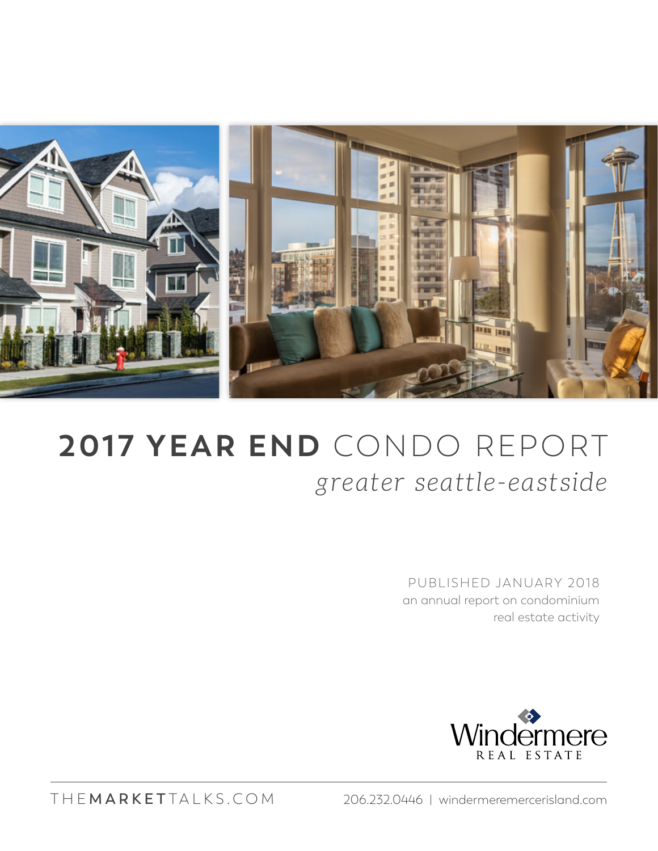

## **2017 YEAR END** CONDO REPORT *greater seattle-eastside*

PUBLISHED JANUARY 2018 an annual report on condominium real estate activity



THE **MARKET** TALKS.COM 206.232.0446 | windermeremercerisland.com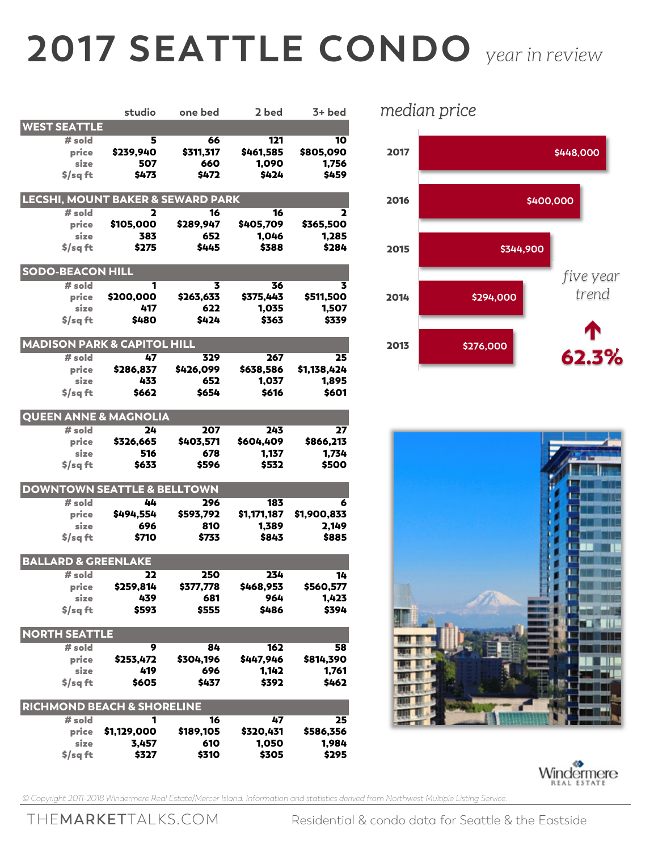## **2017 SEATTLE CONDO** *year in review*

|                                              |                  | studio one bed      | 2 bed              | $3+$ bed       |  |  |  |
|----------------------------------------------|------------------|---------------------|--------------------|----------------|--|--|--|
| <b>WEST SEATTLE</b>                          |                  |                     |                    |                |  |  |  |
| $#$ sold                                     | 5                | 66                  | 121                | 10             |  |  |  |
| price                                        | \$239,940        | \$311,317           | \$461,585          | \$805,090      |  |  |  |
| size                                         | 507              | 660                 | 1,090              | 1,756          |  |  |  |
| $$$ /sqft                                    | \$473            | \$472               | \$424              | \$459          |  |  |  |
|                                              |                  |                     |                    |                |  |  |  |
| <b>LECSHI, MOUNT BAKER &amp; SEWARD PARK</b> |                  |                     |                    |                |  |  |  |
| # sold                                       | 2                | $\overline{16}$     | 16                 | 2              |  |  |  |
| price                                        | \$105,000        | \$289,947           | \$405,709          | \$365,500      |  |  |  |
| size                                         | 383              | 652                 | 1,046              | 1,285          |  |  |  |
| $$$ /sqft                                    | \$275            | \$445               | \$388              | \$284          |  |  |  |
| <b>SODO-BEACON HILL</b>                      |                  |                     |                    |                |  |  |  |
| # sold                                       | 1                | 3                   | 36                 | 3              |  |  |  |
| price                                        | \$200,000        | \$263,633           | \$375,443          | \$511,500      |  |  |  |
| size                                         | 417              | 622                 | 1,035              | 1,507          |  |  |  |
| \$/sq ft                                     | \$480            | \$424               | \$363              | \$339          |  |  |  |
|                                              |                  |                     |                    |                |  |  |  |
| <b>MADISON PARK &amp; CAPITOL HILL</b>       |                  |                     |                    |                |  |  |  |
| # sold                                       | 47               | 329                 | 267                | 25             |  |  |  |
| price                                        | \$286,837        | \$426,099           | \$638,586          | \$1,138,424    |  |  |  |
| size                                         | 433              | 652                 | 1,037              | 1,895          |  |  |  |
| \$/sa ft                                     | \$662            | \$654               | \$616              | \$601          |  |  |  |
|                                              |                  |                     |                    |                |  |  |  |
| <b>QUEEN ANNE &amp; MAGNOLIA</b>             |                  |                     |                    |                |  |  |  |
| # sold                                       | 24               | 207                 | 243                | 27             |  |  |  |
| price                                        | \$326,665        | \$403,571           | \$604,409          | \$866,213      |  |  |  |
| size                                         | 516              | 678                 | 1,137              | 1,734          |  |  |  |
| $$$ /sq ft                                   | \$633            | \$596               | \$532              | \$500          |  |  |  |
| <b>DOWNTOWN SEATTLE &amp; BELLTOWN</b>       |                  |                     |                    |                |  |  |  |
|                                              |                  |                     |                    |                |  |  |  |
| $#$ sold                                     | 44               | 296                 | 183                | 6              |  |  |  |
| price                                        |                  | \$494,554 \$593,792 | \$1,171,187        | \$1,900,833    |  |  |  |
| size                                         | 696              | 810                 | 1,389              | 2,149          |  |  |  |
| $s/sq$ ft                                    | \$710            | \$733               | \$843              | \$885          |  |  |  |
| <b>BALLARD &amp; GREENLAKE</b>               |                  |                     |                    |                |  |  |  |
| # sold                                       | 22               | 250                 | 234                | 14             |  |  |  |
| price                                        | \$259,814        | \$377,778           | \$468,953          | \$560,577      |  |  |  |
| size                                         | 439              | 681                 | 964                | 1,423          |  |  |  |
| $s/sq$ ft                                    | \$593            | \$555               | \$486              | \$394          |  |  |  |
| <b>NORTH SEATTLE</b>                         |                  |                     |                    |                |  |  |  |
|                                              |                  |                     |                    |                |  |  |  |
| # sold<br>price                              | 9                | 84                  | 162                | 58             |  |  |  |
| size                                         | \$253,472<br>419 | \$304,196<br>696    | \$447,946<br>1,142 | \$814,390      |  |  |  |
| $$$ /saft                                    | \$605            | \$437               | \$392              | 1,761<br>\$462 |  |  |  |
|                                              |                  |                     |                    |                |  |  |  |
| <b>RICHMOND BEACH &amp; SHORELINE</b>        |                  |                     |                    |                |  |  |  |
| $#$ sold                                     | 1                | 16                  | 47                 | 25             |  |  |  |
| price                                        | \$1,129,000      | \$189,105           | \$320,431          | \$586,356      |  |  |  |
| size                                         | 3,457            | 610                 | 1,050              | 1,984          |  |  |  |
| $$$ /sqft                                    | \$327            | \$310               | \$305              | \$295          |  |  |  |

*median price*







*© Copyright 2011-2018 Windermere Real Estate/Mercer Island. Information and statistics derived from Northwest Multiple Listing Service.*

THE**MARKET**TALKS.COM Residential & condo data for Seattle & the Eastside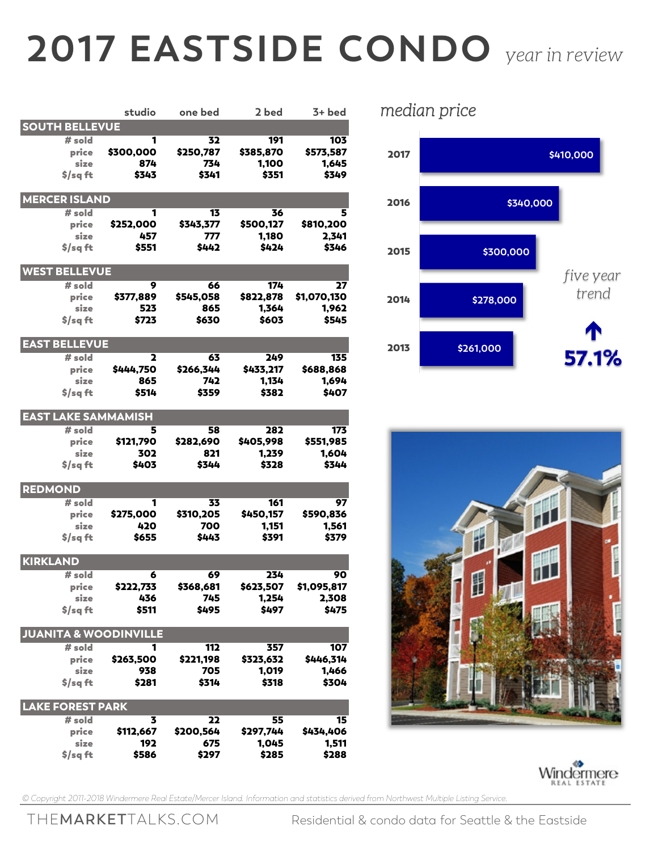## **2017 EASTSIDE CONDO** *year in review*

|                                  | studio           | one bed          | 2 bed              | $3+$ bed             |
|----------------------------------|------------------|------------------|--------------------|----------------------|
| <b>SOUTH BELLEVUE</b>            |                  |                  |                    |                      |
| # sold                           | 1                | 32               | 191                | 103                  |
| price                            | \$300,000        | \$250,787        | \$385,870          | \$573,587            |
| size                             | 874              | 734              | 1,100              | 1,645                |
| $$$ /sqft                        | \$343            | \$341            | \$351              | \$349                |
| <b>MERCER ISLAND</b>             |                  |                  |                    |                      |
| $#$ sold                         | 1                | 13               | 36                 | 5                    |
| price                            | \$252,000        | \$343,377        | \$500.127          | \$810,200            |
| size                             | 457              | 777              | 1,180              | 2,341                |
| $$$ /sq ft                       | \$551            | \$442            | \$424              | \$346                |
|                                  |                  |                  |                    |                      |
| <b>WEST BELLEVUE</b>             |                  |                  |                    |                      |
| # sold                           | 9                | 66               | 174                | 27                   |
| price<br>size                    | \$377,889<br>523 | \$545,058<br>865 | \$822,878<br>1,364 | \$1,070,130<br>1,962 |
| $$$ /sq ft                       | \$723            | \$630            | \$603              | \$545                |
|                                  |                  |                  |                    |                      |
| <b>EAST BELLEVUE</b>             |                  |                  |                    |                      |
| $#$ sold                         | 2                | 63               | 249                | 135                  |
| price                            | \$444,750        | \$266,344        | \$433,217          | \$688,868            |
| size                             | 865              | 742              | 1,134              | 1,694                |
| $$$ /sq ft                       | \$514            | \$359            | \$382              | \$407                |
| <b>EAST LAKE SAMMAMISH</b>       |                  |                  |                    |                      |
| # sold                           | 5                | 58               | 282                | 173                  |
| price                            | \$121,790        | \$282,690        | \$405,998          | \$551,985            |
| size                             | 302              | 821              | 1,239              | 1,604                |
| $$$ /sq ft                       | \$403            | \$344            | \$328              | \$344                |
| <b>REDMOND</b>                   |                  |                  |                    |                      |
| $#$ sold                         | 1                | 33               | 161                | 97                   |
| price                            | \$275,000        | \$310,205        | \$450,157          | \$590,836            |
| size                             | 420              | 700              | 1,151              | 1,561                |
| $$$ /sq ft                       | \$655            | \$443            | \$391              | \$379                |
| KIRKLAND                         |                  |                  |                    |                      |
| # sold                           | 6                | 69               | 234                | 90                   |
| price                            | \$222,733        | \$368,681        | \$623,507          | \$1,095,817          |
| size                             | 436              | 745              | 1,254              | 2,308                |
| $$$ /sqft                        | \$511            | \$495            | \$497              | \$475                |
| <b>JUANITA &amp; WOODINVILLE</b> |                  |                  |                    |                      |
| $#$ sold                         | 1                | 112              | 357                | 107                  |
| price                            | \$263,500        | \$221,198        | \$323,632          | \$446,314            |
| size                             | 938              | 705              | 1,019              | 1,466                |
| $$$ /saft                        | \$281            | \$314            | \$318              | \$304                |
|                                  |                  |                  |                    |                      |
| <b>LAKE FOREST PARK</b>          |                  |                  |                    |                      |
| # sold                           | 3                | 22               | 55                 | 15                   |
| price                            | \$112,667        | \$200,564        | \$297,744          | \$434,406            |
| size                             | 192              | 675              | 1,045              | 1,511                |
| $$$ /sqft                        | \$586            | \$297            | \$285              | \$288                |

*median price*







*© Copyright 2011-2018 Windermere Real Estate/Mercer Island. Information and statistics derived from Northwest Multiple Listing Service.*

THE**MARKET**TALKS.COM Residential & condo data for Seattle & the Eastside